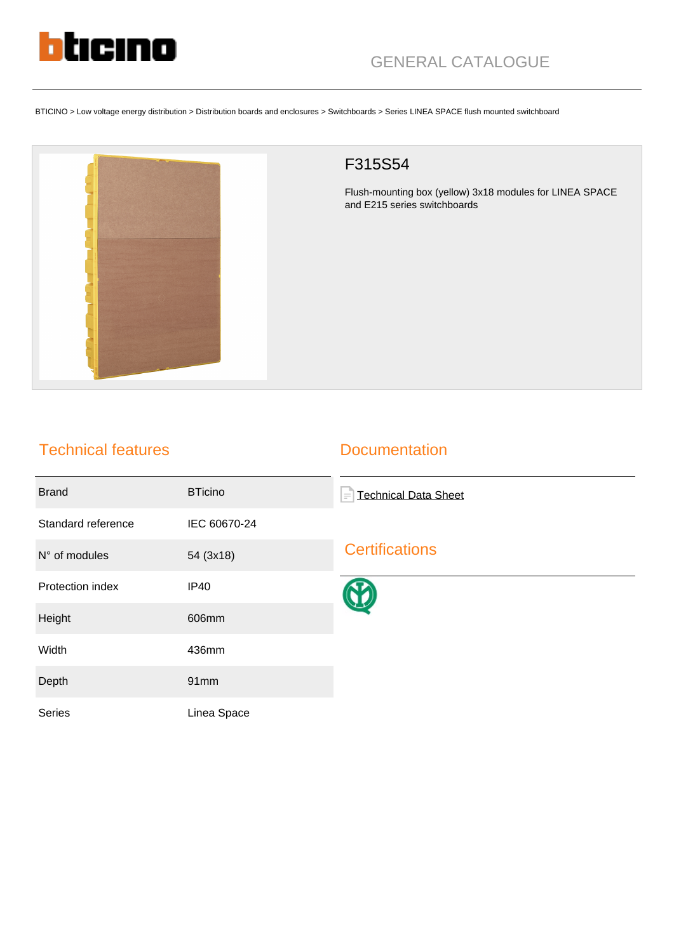

BTICINO > Low voltage energy distribution > Distribution boards and enclosures > Switchboards > Series LINEA SPACE flush mounted switchboard



## F315S54

Flush-mounting box (yellow) 3x18 modules for LINEA SPACE and E215 series switchboards

## Technical features

## **Documentation**

| <b>Brand</b>       | <b>BTicino</b> | <b>Technical Data Sheet</b><br>$\equiv$ |
|--------------------|----------------|-----------------------------------------|
| Standard reference | IEC 60670-24   |                                         |
| N° of modules      | 54 (3x18)      | <b>Certifications</b>                   |
| Protection index   | <b>IP40</b>    |                                         |
| Height             | 606mm          |                                         |
| Width              | 436mm          |                                         |
| Depth              | 91mm           |                                         |
| <b>Series</b>      | Linea Space    |                                         |